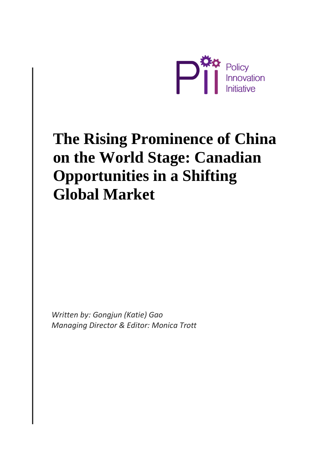

# **The Rising Prominence of China on the World Stage: Canadian Opportunities in a Shifting Global Market**

*Written by: Gongjun (Katie) Gao Managing Director & Editor: Monica Trott*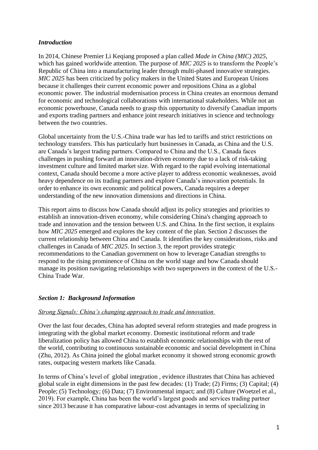## *Introduction*

In 2014, Chinese Premier Li Keqiang proposed a plan called *Made in China (MIC) 2025*, which has gained worldwide attention. The purpose of *MIC 2025* is to transform the People's Republic of China into a manufacturing leader through multi-phased innovative strategies. *MIC 2025* has been criticized by policy makers in the United States and European Unions because it challenges their current economic power and repositions China as a global economic power. The industrial modernisation process in China creates an enormous demand for economic and technological collaborations with international stakeholders. While not an economic powerhouse, Canada needs to grasp this opportunity to diversify Canadian imports and exports trading partners and enhance joint research initiatives in science and technology between the two countries.

Global uncertainty from the U.S.-China trade war has led to tariffs and strict restrictions on technology transfers. This has particularly hurt businesses in Canada, as China and the U.S. are Canada's largest trading partners. Compared to China and the U.S., Canada faces challenges in pushing forward an innovation-driven economy due to a lack of risk-taking investment culture and limited market size. With regard to the rapid evolving international context, Canada should become a more active player to address economic weaknesses, avoid heavy dependence on its trading partners and explore Canada's innovation potentials. In order to enhance its own economic and political powers, Canada requires a deeper understanding of the new innovation dimensions and directions in China.

This report aims to discuss how Canada should adjust its policy strategies and priorities to establish an innovation-driven economy, while considering China's changing approach to trade and innovation and the tension between U.S. and China. In the first section, it explains how *MIC 2025* emerged and explores the key content of the plan. Section 2 discusses the current relationship between China and Canada. It identifies the key considerations, risks and challenges in Canada of *MIC 2025*. In section 3, the report provides strategic recommendations to the Canadian government on how to leverage Canadian strengths to respond to the rising prominence of China on the world stage and how Canada should manage its position navigating relationships with two superpowers in the context of the U.S.- China Trade War.

## *Section 1: Background Information*

## *Strong Signals: China's changing approach to trade and innovation*

Over the last four decades, China has adopted several reform strategies and made progress in integrating with the global market economy. Domestic institutional reform and trade liberalization policy has allowed China to establish economic relationships with the rest of the world, contributing to continuous sustainable economic and social development in China (Zhu, 2012). As China joined the global market economy it showed strong economic growth rates, outpacing western markets like Canada.

In terms of China's level of global integration , evidence illustrates that China has achieved global scale in eight dimensions in the past few decades: (1) Trade; (2) Firms; (3) Capital; (4) People; (5) Technology; (6) Data; (7) Environmental impact; and (8) Culture (Woetzel et al., 2019). For example, China has been the world's largest goods and services trading partner since 2013 because it has comparative labour-cost advantages in terms of specializing in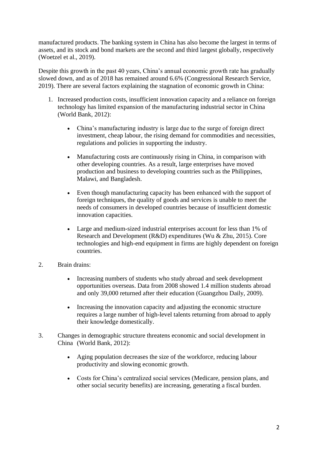manufactured products. The banking system in China has also become the largest in terms of assets, and its stock and bond markets are the second and third largest globally, respectively (Woetzel et al., 2019).

Despite this growth in the past 40 years, China's annual economic growth rate has gradually slowed down, and as of 2018 has remained around 6.6% (Congressional Research Service, 2019). There are several factors explaining the stagnation of economic growth in China:

- 1. Increased production costs, insufficient innovation capacity and a reliance on foreign technology has limited expansion of the manufacturing industrial sector in China (World Bank, 2012):
	- China's manufacturing industry is large due to the surge of foreign direct investment, cheap labour, the rising demand for commodities and necessities, regulations and policies in supporting the industry.
	- Manufacturing costs are continuously rising in China, in comparison with other developing countries. As a result, large enterprises have moved production and business to developing countries such as the Philippines, Malawi, and Bangladesh.
	- Even though manufacturing capacity has been enhanced with the support of foreign techniques, the quality of goods and services is unable to meet the needs of consumers in developed countries because of insufficient domestic innovation capacities.
	- Large and medium-sized industrial enterprises account for less than 1% of Research and Development (R&D) expenditures (Wu & Zhu, 2015). Core technologies and high-end equipment in firms are highly dependent on foreign countries.
- 2. Brain drains:
	- Increasing numbers of students who study abroad and seek development opportunities overseas. Data from 2008 showed 1.4 million students abroad and only 39,000 returned after their education (Guangzhou Daily, 2009).
	- Increasing the innovation capacity and adjusting the economic structure requires a large number of high-level talents returning from abroad to apply their knowledge domestically.
- 3. Changes in demographic structure threatens economic and social development in China (World Bank, 2012):
	- Aging population decreases the size of the workforce, reducing labour productivity and slowing economic growth.
	- Costs for China's centralized social services (Medicare, pension plans, and other social security benefits) are increasing, generating a fiscal burden.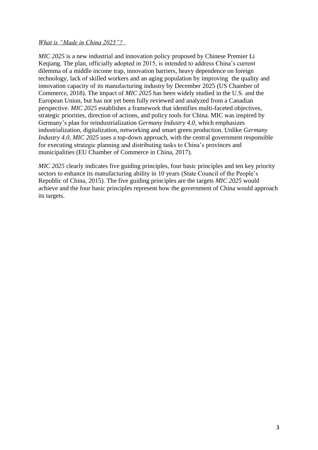#### *What is "Made in China 2025"?*

*MIC 2025* is a new industrial and innovation policy proposed by Chinese Premier Li Keqiang. The plan, officially adopted in 2015, is intended to address China's current dilemma of a middle income trap, innovation barriers, heavy dependence on foreign technology, lack of skilled workers and an aging population by improving the quality and innovation capacity of its manufacturing industry by December 2025 (US Chamber of Commerce, 2018). The impact of *MIC 2025* has been widely studied in the U.S. and the European Union, but has not yet been fully reviewed and analyzed from a Canadian perspective. *MIC 2025* establishes a framework that identifies multi-faceted objectives, strategic priorities, direction of actions, and policy tools for China. MIC was inspired by Germany's plan for reindustrialization *Germany Industry 4.0*, which emphasizes industrialization, digitalization, networking and smart green production. Unlike *Germany Industry 4.0*, *MIC 2025* uses a top-down approach, with the central government responsible for executing strategic planning and distributing tasks to China's provinces and municipalities (EU Chamber of Commerce in China, 2017).

*MIC 2025* clearly indicates five guiding principles, four basic principles and ten key priority sectors to enhance its manufacturing ability in 10 years (State Council of the People's Republic of China, 2015). The five guiding principles are the targets *MIC 2025* would achieve and the four basic principles represent how the government of China would approach its targets.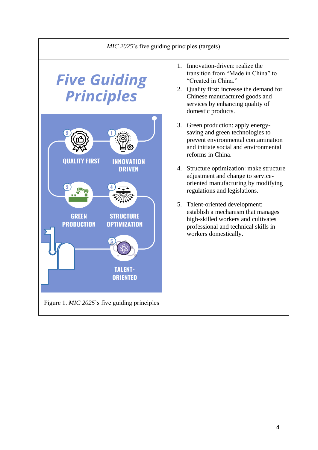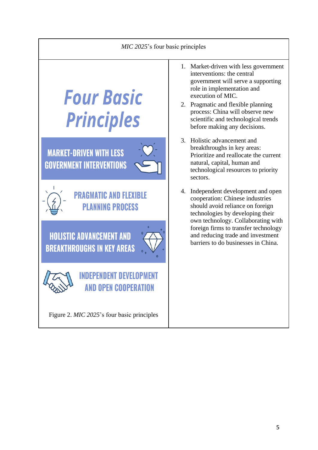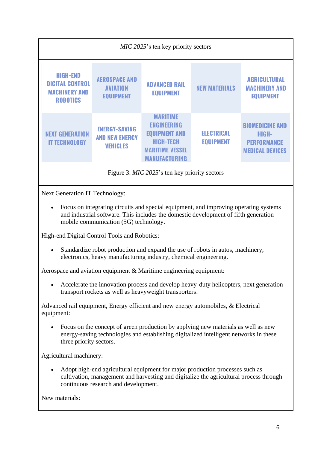| <i>MIC 2025's</i> ten key priority sectors                                           |                                                                  |                                                                                                                                            |                                       |                                                                                 |
|--------------------------------------------------------------------------------------|------------------------------------------------------------------|--------------------------------------------------------------------------------------------------------------------------------------------|---------------------------------------|---------------------------------------------------------------------------------|
| <b>HIGH-END</b><br><b>DIGITAL CONTROL</b><br><b>MACHINERY AND</b><br><b>ROBOTICS</b> | <b>AEROSPACE AND</b><br><b>AVIATION</b><br><b>EQUIPMENT</b>      | <b>ADVANCED RAIL</b><br><b>EQUIPMENT</b>                                                                                                   | <b>NEW MATERIALS</b>                  | <b>AGRICULTURAL</b><br><b>MACHINERY AND</b><br><b>EQUIPMENT</b>                 |
| <b>NEXT GENERATION</b><br><b>IT TECHNOLOGY</b>                                       | <b>ENERGY-SAVING</b><br><b>AND NEW ENERGY</b><br><b>VEHICLES</b> | <b>MARITIME</b><br><b>ENGINEERING</b><br><b>EQUIPMENT AND</b><br><b>HIGH-TECH</b><br><b>MARITIME VESSEL</b><br><b><i>MANUFACTURING</i></b> | <b>ELECTRICAL</b><br><b>EQUIPMENT</b> | <b>BIOMEDICINE AND</b><br>HIGH-<br><b>PERFORMANCE</b><br><b>MEDICAL DEVICES</b> |
| Figure 3. <i>MIC 2025</i> 's ten key priority sectors                                |                                                                  |                                                                                                                                            |                                       |                                                                                 |

Next Generation IT Technology:

• Focus on integrating circuits and special equipment, and improving operating systems and industrial software. This includes the domestic development of fifth generation mobile communication (5G) technology.

High-end Digital Control Tools and Robotics:

• Standardize robot production and expand the use of robots in autos, machinery, electronics, heavy manufacturing industry, chemical engineering.

Aerospace and aviation equipment & Maritime engineering equipment:

• Accelerate the innovation process and develop heavy-duty helicopters, next generation transport rockets as well as heavyweight transporters.

Advanced rail equipment, Energy efficient and new energy automobiles, & Electrical equipment:

• Focus on the concept of green production by applying new materials as well as new energy-saving technologies and establishing digitalized intelligent networks in these three priority sectors.

Agricultural machinery:

• Adopt high-end agricultural equipment for major production processes such as cultivation, management and harvesting and digitalize the agricultural process through continuous research and development.

New materials: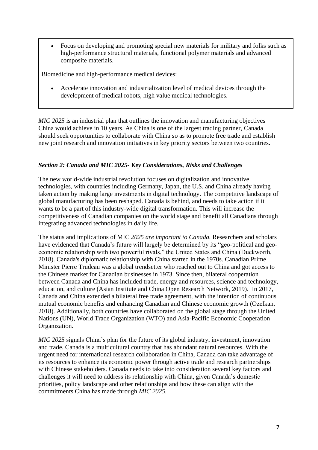• Focus on developing and promoting special new materials for military and folks such as high-performance structural materials, functional polymer materials and advanced composite materials.

Biomedicine and high-performance medical devices:

• Accelerate innovation and industrialization level of medical devices through the development of medical robots, high value medical technologies.

*MIC 2025* is an industrial plan that outlines the innovation and manufacturing objectives China would achieve in 10 years. As China is one of the largest trading partner, Canada should seek opportunities to collaborate with China so as to promote free trade and establish new joint research and innovation initiatives in key priority sectors between two countries.

# *Section 2: Canada and MIC 2025- Key Considerations, Risks and Challenges*

The new world-wide industrial revolution focuses on digitalization and innovative technologies, with countries including Germany, Japan, the U.S. and China already having taken action by making large investments in digital technology. The competitive landscape of global manufacturing has been reshaped. Canada is behind, and needs to take action if it wants to be a part of this industry-wide digital transformation. This will increase the competitiveness of Canadian companies on the world stage and benefit all Canadians through integrating advanced technologies in daily life.

The status and implications of MIC *2025 are important to Canada.* Researchers and scholars have evidenced that Canada's future will largely be determined by its "geo-political and geoeconomic relationship with two powerful rivals," the United States and China (Duckworth, 2018). Canada's diplomatic relationship with China started in the 1970s. Canadian Prime Minister Pierre Trudeau was a global trendsetter who reached out to China and got access to the Chinese market for Canadian businesses in 1973. Since then, bilateral cooperation between Canada and China has included trade, energy and resources, science and technology, education, and culture (Asian Institute and China Open Research Network, 2019). In 2017, Canada and China extended a bilateral free trade agreement, with the intention of continuous mutual economic benefits and enhancing Canadian and Chinese economic growth (Ozelkan, 2018). Additionally, both countries have collaborated on the global stage through the United Nations (UN), World Trade Organization (WTO) and Asia-Pacific Economic Cooperation Organization.

*MIC 2025* signals China's plan for the future of its global industry, investment, innovation and trade. Canada is a multicultural country that has abundant natural resources. With the urgent need for international research collaboration in China, Canada can take advantage of its resources to enhance its economic power through active trade and research partnerships with Chinese stakeholders. Canada needs to take into consideration several key factors and challenges it will need to address its relationship with China, given Canada's domestic priorities, policy landscape and other relationships and how these can align with the commitments China has made through *MIC 2025*.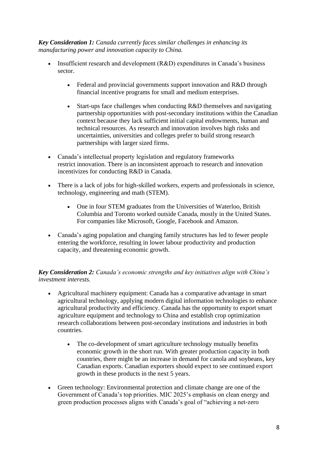*Key Consideration 1: Canada currently faces similar challenges in enhancing its manufacturing power and innovation capacity to China.*

- Insufficient research and development (R&D) expenditures in Canada's business sector.
	- Federal and provincial governments support innovation and R&D through financial incentive programs for small and medium enterprises.
	- Start-ups face challenges when conducting R&D themselves and navigating partnership opportunities with post-secondary institutions within the Canadian context because they lack sufficient initial capital endowments, human and technical resources. As research and innovation involves high risks and uncertainties, universities and colleges prefer to build strong research partnerships with larger sized firms.
- Canada's intellectual property legislation and regulatory frameworks restrict innovation. There is an inconsistent approach to research and innovation incentivizes for conducting R&D in Canada.
- There is a lack of jobs for high-skilled workers, experts and professionals in science, technology, engineering and math (STEM).
	- One in four STEM graduates from the Universities of Waterloo, British Columbia and Toronto worked outside Canada, mostly in the United States. For companies like Microsoft, Google, Facebook and Amazon.
- Canada's aging population and changing family structures has led to fewer people entering the workforce, resulting in lower labour productivity and production capacity, and threatening economic growth.

*Key Consideration 2: Canada's economic strengths and key initiatives align with China's investment interests.*

- Agricultural machinery equipment: Canada has a comparative advantage in smart agricultural technology, applying modern digital information technologies to enhance agricultural productivity and efficiency. Canada has the opportunity to export smart agriculture equipment and technology to China and establish crop optimization research collaborations between post-secondary institutions and industries in both countries.
	- The co-development of smart agriculture technology mutually benefits economic growth in the short run. With greater production capacity in both countries, there might be an increase in demand for canola and soybeans, key Canadian exports. Canadian exporters should expect to see continued export growth in these products in the next 5 years.
- Green technology: Environmental protection and climate change are one of the Government of Canada's top priorities. MIC 2025's emphasis on clean energy and green production processes aligns with Canada's goal of "achieving a net-zero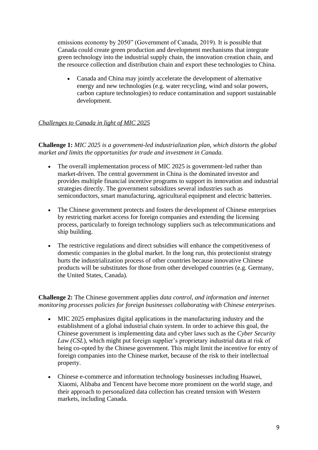emissions economy by 2050" (Government of Canada, 2019). It is possible that Canada could create green production and development mechanisms that integrate green technology into the industrial supply chain, the innovation creation chain, and the resource collection and distribution chain and export these technologies to China.

• Canada and China may jointly accelerate the development of alternative energy and new technologies (e.g. water recycling, wind and solar powers, carbon capture technologies) to reduce contamination and support sustainable development.

#### *Challenges to Canada in light of MIC 2025*

**Challenge 1:** *MIC 2025 is a government-led industrialization plan, which distorts the global market and limits the opportunities for trade and investment in Canada.*

- The overall implementation process of MIC 2025 is government-led rather than market-driven. The central government in China is the dominated investor and provides multiple financial incentive programs to support its innovation and industrial strategies directly. The government subsidizes several industries such as semiconductors, smart manufacturing, agricultural equipment and electric batteries.
- The Chinese government protects and fosters the development of Chinese enterprises by restricting market access for foreign companies and extending the licensing process, particularly to foreign technology suppliers such as telecommunications and ship building.
- The restrictive regulations and direct subsidies will enhance the competitiveness of domestic companies in the global market. In the long run, this protectionist strategy hurts the industrialization process of other countries because innovative Chinese products will be substitutes for those from other developed countries (e.g. Germany, the United States, Canada).

**Challenge 2:** The Chinese government applies *data control, and information and internet monitoring processes policies for foreign businesses collaborating with Chinese enterprises.*

- MIC 2025 emphasizes digital applications in the manufacturing industry and the establishment of a global industrial chain system. In order to achieve this goal, the Chinese government is implementing data and cyber laws such as the *Cyber Security Law (CSL*), which might put foreign supplier's proprietary industrial data at risk of being co-opted by the Chinese government. This might limit the incentive for entry of foreign companies into the Chinese market, because of the risk to their intellectual property.
- Chinese e-commerce and information technology businesses including Huawei, Xiaomi, Alibaba and Tencent have become more prominent on the world stage, and their approach to personalized data collection has created tension with Western markets, including Canada.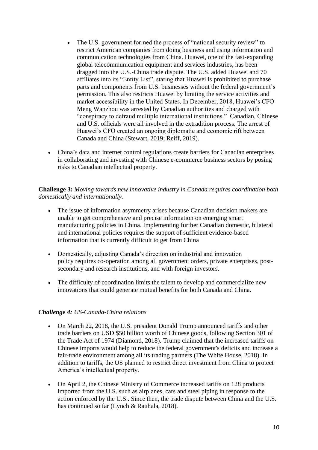- The U.S. government formed the process of "national security review" to restrict American companies from doing business and using information and communication technologies from China. Huawei, one of the fast-expanding global telecommunication equipment and services industries, has been dragged into the U.S.-China trade dispute. The U.S. added Huawei and 70 affiliates into its "Entity List", stating that Huawei is prohibited to purchase parts and components from U.S. businesses without the federal government's permission. This also restricts Huawei by limiting the service activities and market accessibility in the United States. In December, 2018, Huawei's CFO Meng Wanzhou was arrested by Canadian authorities and charged with "conspiracy to defraud multiple international institutions." Canadian, Chinese and U.S. officials were all involved in the extradition process. The arrest of Huawei's CFO created an ongoing diplomatic and economic rift between Canada and China (Stewart, 2019; Reiff, 2019).
- China's data and internet control regulations create barriers for Canadian enterprises in collaborating and investing with Chinese e-commerce business sectors by posing risks to Canadian intellectual property.

**Challenge 3:** *Moving towards new innovative industry in Canada requires coordination both domestically and internationally.*

- The issue of information asymmetry arises because Canadian decision makers are unable to get comprehensive and precise information on emerging smart manufacturing policies in China. Implementing further Canadian domestic, bilateral and international policies requires the support of sufficient evidence-based information that is currently difficult to get from China
- Domestically, adjusting Canada's direction on industrial and innovation policy requires co-operation among all government orders, private enterprises, postsecondary and research institutions, and with foreign investors.
- The difficulty of coordination limits the talent to develop and commercialize new innovations that could generate mutual benefits for both Canada and China.

## *Challenge 4: US-Canada-China relations*

- On March 22, 2018, the U.S. president Donald Trump announced tariffs and other trade barriers on USD \$50 billion worth of Chinese goods, following Section 301 of the Trade Act of 1974 (Diamond, 2018). Trump claimed that the increased tariffs on Chinese imports would help to reduce the federal government's deficits and increase a fair-trade environment among all its trading partners (The White House, 2018). In addition to tariffs, the US planned to restrict direct investment from China to protect America's intellectual property.
- On April 2, the Chinese Ministry of Commerce increased tariffs on 128 products imported from the U.S. such as airplanes, cars and steel piping in response to the action enforced by the U.S.. Since then, the trade dispute between China and the U.S. has continued so far (Lynch & Rauhala, 2018).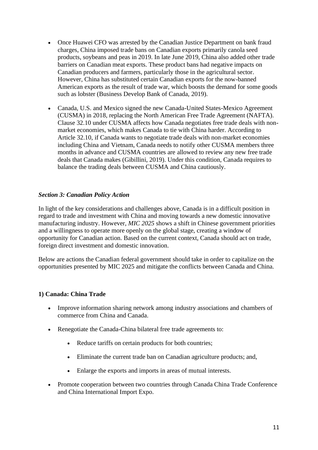- Once Huawei CFO was arrested by the Canadian Justice Department on bank fraud charges, China imposed trade bans on Canadian exports primarily canola seed products, soybeans and peas in 2019. In late June 2019, China also added other trade barriers on Canadian meat exports. These product bans had negative impacts on Canadian producers and farmers, particularly those in the agricultural sector. However, China has substituted certain Canadian exports for the now-banned American exports as the result of trade war, which boosts the demand for some goods such as lobster (Business Develop Bank of Canada, 2019).
- Canada, U.S. and Mexico signed the new Canada-United States-Mexico Agreement (CUSMA) in 2018, replacing the North American Free Trade Agreement (NAFTA). Clause 32.10 under CUSMA affects how Canada negotiates free trade deals with nonmarket economies, which makes Canada to tie with China harder. According to Article 32.10, if Canada wants to negotiate trade deals with non-market economies including China and Vietnam, Canada needs to notify other CUSMA members three months in advance and CUSMA countries are allowed to review any new free trade deals that Canada makes (Gibillini, 2019). Under this condition, Canada requires to balance the trading deals between CUSMA and China cautiously.

## *Section 3: Canadian Policy Action*

In light of the key considerations and challenges above, Canada is in a difficult position in regard to trade and investment with China and moving towards a new domestic innovative manufacturing industry. However, *MIC 2025* shows a shift in Chinese government priorities and a willingness to operate more openly on the global stage, creating a window of opportunity for Canadian action. Based on the current context, Canada should act on trade, foreign direct investment and domestic innovation.

Below are actions the Canadian federal government should take in order to capitalize on the opportunities presented by MIC 2025 and mitigate the conflicts between Canada and China.

## **1) Canada: China Trade**

- Improve information sharing network among industry associations and chambers of commerce from China and Canada.
- Renegotiate the Canada-China bilateral free trade agreements to:
	- Reduce tariffs on certain products for both countries;
	- Eliminate the current trade ban on Canadian agriculture products; and,
	- Enlarge the exports and imports in areas of mutual interests.
- Promote cooperation between two countries through Canada China Trade Conference and China International Import Expo.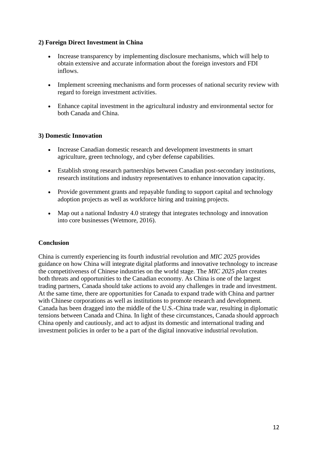## **2) Foreign Direct Investment in China**

- Increase transparency by implementing disclosure mechanisms, which will help to obtain extensive and accurate information about the foreign investors and FDI inflows.
- Implement screening mechanisms and form processes of national security review with regard to foreign investment activities.
- Enhance capital investment in the agricultural industry and environmental sector for both Canada and China.

# **3) Domestic Innovation**

- Increase Canadian domestic research and development investments in smart agriculture, green technology, and cyber defense capabilities.
- Establish strong research partnerships between Canadian post-secondary institutions, research institutions and industry representatives to enhance innovation capacity.
- Provide government grants and repayable funding to support capital and technology adoption projects as well as workforce hiring and training projects.
- Map out a national Industry 4.0 strategy that integrates technology and innovation into core businesses (Wetmore, 2016).

## **Conclusion**

China is currently experiencing its fourth industrial revolution and *MIC 2025* provides guidance on how China will integrate digital platforms and innovative technology to increase the competitiveness of Chinese industries on the world stage. The *MIC 2025 plan* creates both threats and opportunities to the Canadian economy. As China is one of the largest trading partners, Canada should take actions to avoid any challenges in trade and investment. At the same time, there are opportunities for Canada to expand trade with China and partner with Chinese corporations as well as institutions to promote research and development. Canada has been dragged into the middle of the U.S.-China trade war, resulting in diplomatic tensions between Canada and China. In light of these circumstances, Canada should approach China openly and cautiously, and act to adjust its domestic and international trading and investment policies in order to be a part of the digital innovative industrial revolution.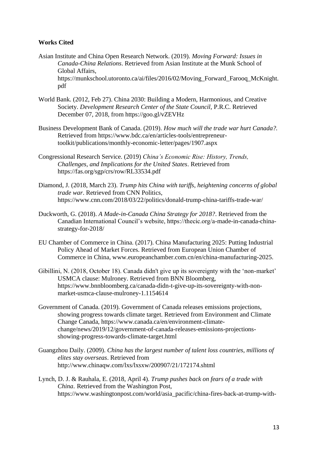#### **Works Cited**

- Asian Institute and China Open Research Network. (2019). *Moving Forward: Issues in Canada-China Relations*. Retrieved from Asian Institute at the Munk School of Global Affairs, https://munkschool.utoronto.ca/ai/files/2016/02/Moving\_Forward\_Farooq\_McKnight. pdf
- World Bank. (2012, Feb 27). China 2030: Building a Modern, Harmonious, and Creative Society. *Development Research Center of the State Council,* P.R.C. Retrieved December 07, 2018, from https://goo.gl/vZEVHz
- Business Development Bank of Canada. (2019). *How much will the trade war hurt Canada?.* Retrieved from https://www.bdc.ca/en/articles-tools/entrepreneurtoolkit/publications/monthly-economic-letter/pages/1907.aspx
- Congressional Research Service. (2019) *China's Economic Rise: History, Trends, Challenges, and Implications for the United States*. Retrieved from https://fas.org/sgp/crs/row/RL33534.pdf
- Diamond, J. (2018, March 23). *Trump hits China with tariffs, heightening concerns of global trade war*. Retrieved from CNN Politics, https://www.cnn.com/2018/03/22/politics/donald-trump-china-tariffs-trade-war/
- Duckworth, G. (2018). *A Made-in-Canada China Strategy for 2018?*. Retrieved from the Canadian International Council's website, https://thecic.org/a-made-in-canada-chinastrategy-for-2018/
- EU Chamber of Commerce in China. (2017). China Manufacturing 2025: Putting Industrial Policy Ahead of Market Forces. Retrieved from European Union Chamber of Commerce in China, www.europeanchamber.com.cn/en/china-manufacturing-2025.
- Gibillini, N. (2018, October 18). Canada didn't give up its sovereignty with the 'non-market' USMCA clause: Mulroney. Retrieved from BNN Bloomberg, https://www.bnnbloomberg.ca/canada-didn-t-give-up-its-sovereignty-with-nonmarket-usmca-clause-mulroney-1.1154614
- Government of Canada. (2019). Government of Canada releases emissions projections, showing progress towards climate target. Retrieved from Environment and Climate Change Canada, https://www.canada.ca/en/environment-climatechange/news/2019/12/government-of-canada-releases-emissions-projectionsshowing-progress-towards-climate-target.html
- Guangzhou Daily. (2009). *China has the largest number of talent loss countries, millions of elites stay overseas*. Retrieved from http://www.chinaqw.com/lxs/lxsxw/200907/21/172174.shtml
- Lynch, D. J. & Rauhala, E. (2018, April 4). *Trump pushes back on fears of a trade with China*. Retrieved from the Washington Post, https://www.washingtonpost.com/world/asia\_pacific/china-fires-back-at-trump-with-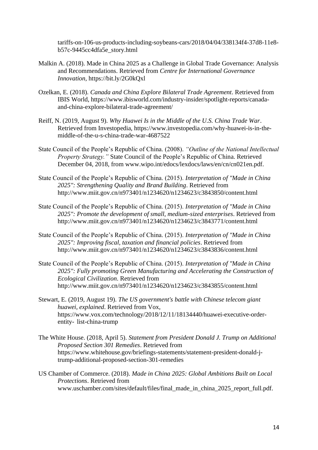tariffs-on-106-us-products-including-soybeans-cars/2018/04/04/338134f4-37d8-11e8 b57c-9445cc4dfa5e\_story.html

- Malkin A. (2018). Made in China 2025 as a Challenge in Global Trade Governance: Analysis and Recommendations. Retrieved from *Centre for International Governance Innovation,* https://bit.ly/2G0kQxl
- Ozelkan, E. (2018). *Canada and China Explore Bilateral Trade Agreement*. Retrieved from IBIS World, https://www.ibisworld.com/industry-insider/spotlight-reports/canadaand-china-explore-bilateral-trade-agreement/
- Reiff, N. (2019, August 9). *Why Huawei Is in the Middle of the U.S. China Trade War*. Retrieved from Investopedia, https://www.investopedia.com/why-huawei-is-in-themiddle-of-the-u-s-china-trade-war-4687522
- State Council of the People's Republic of China. (2008). *"Outline of the National Intellectual Property Strategy."* State Council of the People's Republic of China. Retrieved December 04, 2018, from www.wipo.int/edocs/lexdocs/laws/en/cn/cn021en.pdf.
- State Council of the People's Republic of China. (2015). *Interpretation of "Made in China 2025": Strengthening Quality and Brand Building*. Retrieved from http://www.miit.gov.cn/n973401/n1234620/n1234623/c3843850/content.html
- State Council of the People's Republic of China. (2015). *Interpretation of "Made in China 2025": Promote the development of small, medium-sized enterprises*. Retrieved from http://www.miit.gov.cn/n973401/n1234620/n1234623/c3843771/content.html
- State Council of the People's Republic of China. (2015). *Interpretation of "Made in China 2025": Improving fiscal, taxation and financial policies*. Retrieved from http://www.miit.gov.cn/n973401/n1234620/n1234623/c3843836/content.html
- State Council of the People's Republic of China. (2015). *Interpretation of "Made in China 2025": Fully promoting Green Manufacturing and Accelerating the Construction of Ecological Civilization*. Retrieved from http://www.miit.gov.cn/n973401/n1234620/n1234623/c3843855/content.html
- Stewart, E. (2019, August 19). *The US government's battle with Chinese telecom giant huawei, explained*. Retrieved from Vox, https://www.vox.com/technology/2018/12/11/18134440/huawei-executive-orderentity- list-china-trump
- The White House. (2018, April 5). *Statement from President Donald J. Trump on Additional Proposed Section 301 Remedies*. Retrieved from https://www.whitehouse.gov/briefings-statements/statement-president-donald-jtrump-additional-proposed-section-301-remedies
- US Chamber of Commerce. (2018). *Made in China 2025: Global Ambitions Built on Local Protections*. Retrieved from www.uschamber.com/sites/default/files/final\_made\_in\_china\_2025\_report\_full.pdf.